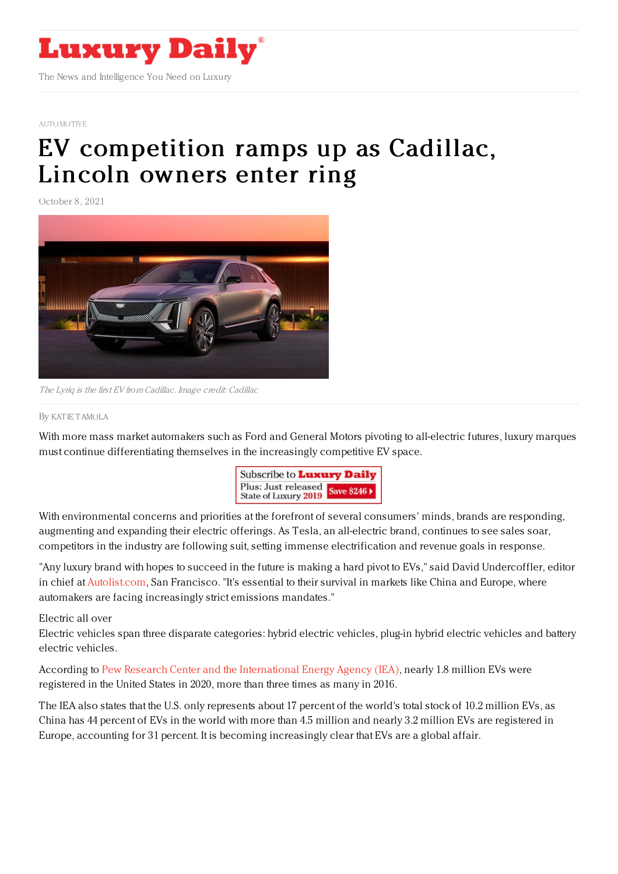

## [AUTOMOTIVE](https://www.luxurydaily.com/category/sectors/automotive-industry-sectors/)

## EV [competition](https://www.luxurydaily.com/?p=338059) ramps up as Cadillac, Lincoln owners enter ring

October 8, 2021



The Lyriq is the first EV from Cadillac. Image credit: Cadillac

## By KAT IE [TAMOLA](file:///author/katie-tamola)

With more mass market automakers such as Ford and General Motors pivoting to all-electric futures, luxury marques must continue differentiating themselves in the increasingly competitive EV space.



With environmental concerns and priorities at the forefront of several consumers' minds, brands are responding, augmenting and expanding their electric offerings. As Tesla, an all-electric brand, continues to see sales soar, competitors in the industry are following suit, setting immense electrification and revenue goals in response.

"Any luxury brand with hopes to succeed in the future is making a hard pivot to EVs," said David Undercoffler, editor in chief at [Autolist.com](http://autolist.com), San Francisco. "It's essential to their survival in markets like China and Europe, where automakers are facing increasingly strict emissions mandates."

## Electric all over

Electric vehicles span three disparate categories: hybrid electric vehicles, plug-in hybrid electric vehicles and battery electric vehicles.

According to Pew Research Center and the [International](https://www.pewresearch.org/fact-tank/2021/06/07/todays-electric-vehicle-market-slow-growth-in-u-s-faster-in-china-europe/) Energy Agency (IEA), nearly 1.8 million EVs were registered in the United States in 2020, more than three times as many in 2016.

The IEA also states that the U.S. only represents about 17 percent of the world's total stock of 10.2 million EVs, as China has 44 percent of EVs in the world with more than 4.5 million and nearly 3.2 million EVs are registered in Europe, accounting for 31 percent. It is becoming increasingly clear that EVs are a global affair.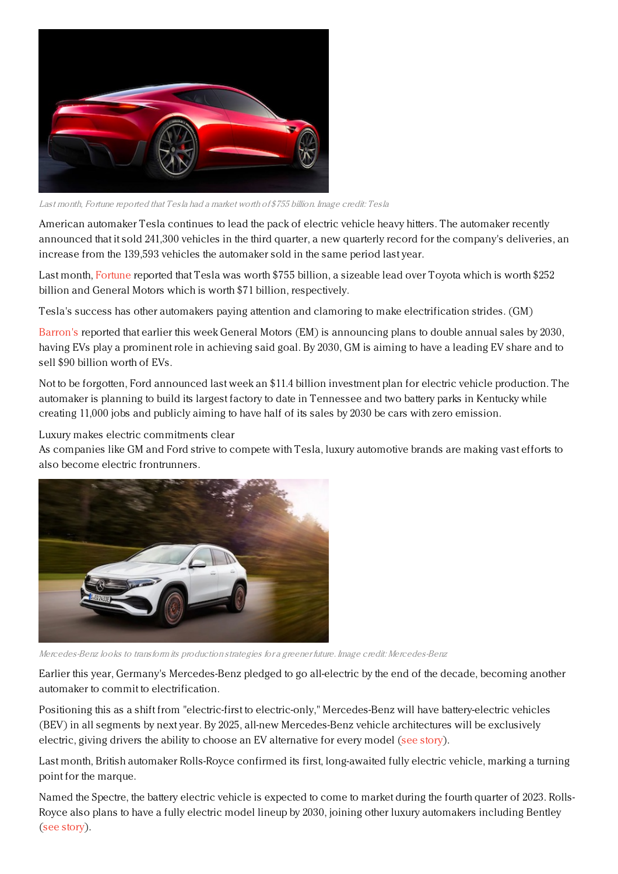

Last month, Fortune reported that Tesla had <sup>a</sup> market worth of \$755 billion. Image credit: Tesla

American automaker Tesla continues to lead the pack of electric vehicle heavy hitters. The automaker recently announced that it sold 241,300 vehicles in the third quarter, a new quarterly record for the company's deliveries, an increase from the 139,593 vehicles the automaker sold in the same period last year.

Last month, [Fortune](https://fortune.com/2021/09/08/tesla-stock-tsla-surges-valuation-car-companies/) reported that Tesla was worth \$755 billion, a sizeable lead over Toyota which is worth \$252 billion and General Motors which is worth \$71 billion, respectively.

Tesla's success has other automakers paying attention and clamoring to make electrification strides. (GM)

[Barron's](https://www.barrons.com/articles/teslas-path-to-400-billion-in-sales-thank-gm-51633623910) reported that earlier this week General Motors (EM) is announcing plans to double annual sales by 2030, having EVs play a prominent role in achieving said goal. By 2030, GM is aiming to have a leading EV share and to sell \$90 billion worth of EVs.

Not to be forgotten, Ford announced last week an \$11.4 billion investment plan for electric vehicle production. The automaker is planning to build its largest factory to date in Tennessee and two battery parks in Kentucky while creating 11,000 jobs and publicly aiming to have half of its sales by 2030 be cars with zero emission.

Luxury makes electric commitments clear

As companies like GM and Ford strive to compete with Tesla, luxury automotive brands are making vast efforts to also become electric frontrunners.



Mercedes-Benz looks to transform its production strategies for <sup>a</sup> greener future. Image credit: Mercedes-Benz

Earlier this year, Germany's Mercedes-Benz pledged to go all-electric by the end of the decade, becoming another automaker to commit to electrification.

Positioning this as a shift from "electric-first to electric-only," Mercedes-Benz will have battery-electric vehicles (BEV) in all segments by next year. By 2025, all-new Mercedes-Benz vehicle architectures will be exclusively electric, giving drivers the ability to choose an EV alternative for every model (see [story](https://www.luxurydaily.com/mercedes-benz-electrification-2030/)).

Last month, British automaker Rolls-Royce confirmed its first, long-awaited fully electric vehicle, marking a turning point for the marque.

Named the Spectre, the battery electric vehicle is expected to come to market during the fourth quarter of 2023. Rolls-Royce also plans to have a fully electric model lineup by 2030, joining other luxury automakers including Bentley (see [story](https://www.luxurydaily.com/rolls-royce-spectre-ev/)).